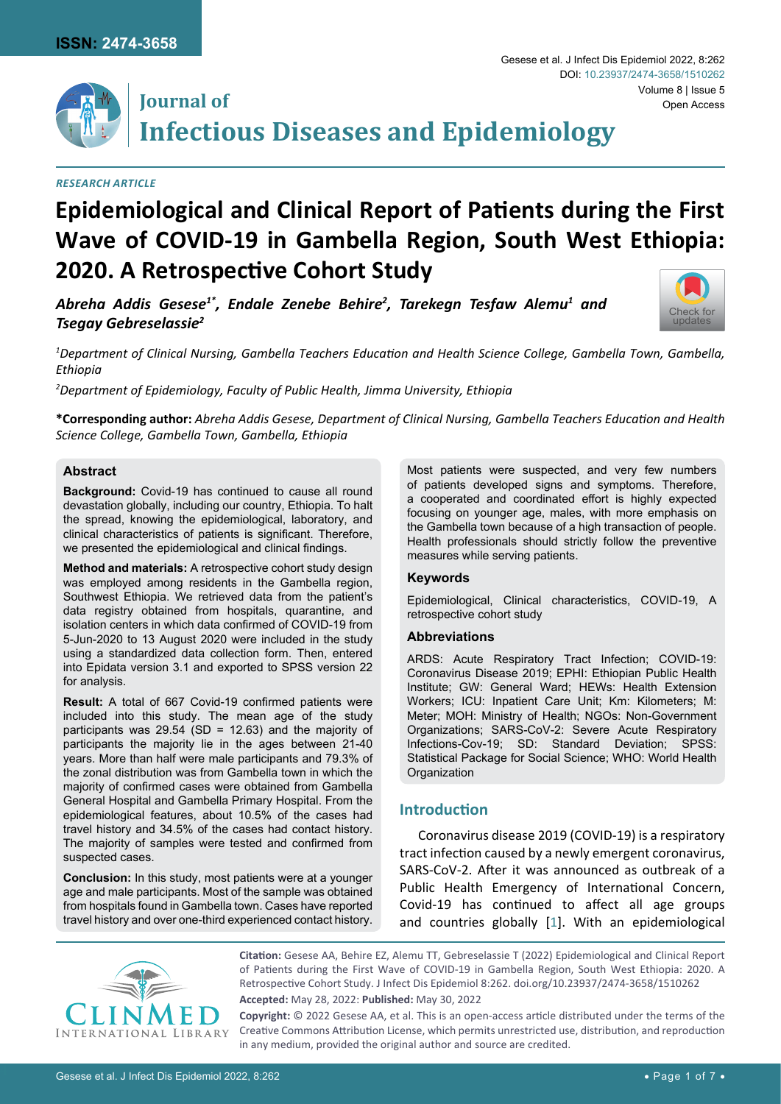

# **Journal of Infectious Diseases and Epidemiology**

# *Research Article*

# **Epidemiological and Clinical Report of Patients during the First Wave of COVID-19 in Gambella Region, South West Ethiopia: 2020. A Retrospective Cohort Study**

*Abreha Addis Gesese1\*, Endale Zenebe Behire2 , Tarekegn Tesfaw Alemu1 and Tsegay Gebreselassie2*

*1 Department of Clinical Nursing, Gambella Teachers Education and Health Science College, Gambella Town, Gambella, Ethiopia*

*2 Department of Epidemiology, Faculty of Public Health, Jimma University, Ethiopia*

**\*Corresponding author:** *Abreha Addis Gesese, Department of Clinical Nursing, Gambella Teachers Education and Health Science College, Gambella Town, Gambella, Ethiopia*

## **Abstract**

**Background:** Covid-19 has continued to cause all round devastation globally, including our country, Ethiopia. To halt the spread, knowing the epidemiological, laboratory, and clinical characteristics of patients is significant. Therefore, we presented the epidemiological and clinical findings.

**Method and materials:** A retrospective cohort study design was employed among residents in the Gambella region, Southwest Ethiopia. We retrieved data from the patient's data registry obtained from hospitals, quarantine, and isolation centers in which data confirmed of COVID-19 from 5-Jun-2020 to 13 August 2020 were included in the study using a standardized data collection form. Then, entered into Epidata version 3.1 and exported to SPSS version 22 for analysis.

**Result:** A total of 667 Covid-19 confirmed patients were included into this study. The mean age of the study participants was  $29.54$  (SD = 12.63) and the majority of participants the majority lie in the ages between 21-40 years. More than half were male participants and 79.3% of the zonal distribution was from Gambella town in which the majority of confirmed cases were obtained from Gambella General Hospital and Gambella Primary Hospital. From the epidemiological features, about 10.5% of the cases had travel history and 34.5% of the cases had contact history. The majority of samples were tested and confirmed from suspected cases.

**Conclusion:** In this study, most patients were at a younger age and male participants. Most of the sample was obtained from hospitals found in Gambella town. Cases have reported travel history and over one-third experienced contact history.

Most patients were suspected, and very few numbers of patients developed signs and symptoms. Therefore, a cooperated and coordinated effort is highly expected focusing on younger age, males, with more emphasis on the Gambella town because of a high transaction of people. Health professionals should strictly follow the preventive measures while serving patients.

#### **Keywords**

Epidemiological, Clinical characteristics, COVID-19, A retrospective cohort study

## **Abbreviations**

ARDS: Acute Respiratory Tract Infection; COVID-19: Coronavirus Disease 2019; EPHI: Ethiopian Public Health Institute; GW: General Ward; HEWs: Health Extension Workers; ICU: Inpatient Care Unit; Km: Kilometers; M: Meter; MOH: Ministry of Health; NGOs: Non-Government Organizations; SARS-CoV-2: Severe Acute Respiratory Infections-Cov-19; SD: Standard Deviation; SPSS: Statistical Package for Social Science; WHO: World Health **Organization** 

## **Introduction**

Coronavirus disease 2019 (COVID-19) is a respiratory tract infection caused by a newly emergent coronavirus, SARS-CoV-2. After it was announced as outbreak of a Public Health Emergency of International Concern, Covid-19 has continued to affect all age groups and countries globally [\[1](#page-5-0)]. With an epidemiological



**Citation:** Gesese AA, Behire EZ, Alemu TT, Gebreselassie T (2022) Epidemiological and Clinical Report of Patients during the First Wave of COVID-19 in Gambella Region, South West Ethiopia: 2020. A Retrospective Cohort Study. J Infect Dis Epidemiol 8:262. [doi.org/10.23937/2474-3658/1510262](https://doi.org/10.23937/2474-3658/1510262)

**Accepted:** May 28, 2022: **Published:** May 30, 2022

**Copyright:** © 2022 Gesese AA, et al. This is an open-access article distributed under the terms of the Creative Commons Attribution License, which permits unrestricted use, distribution, and reproduction in any medium, provided the original author and source are credited.



Volume 8 | Issue 5

Open Access

Gesese et al. J Infect Dis Epidemiol 2022, 8:262

DOI: [10.23937/2474-3658/1510262](https://doi.org/10.23937/2474-3658/1510262)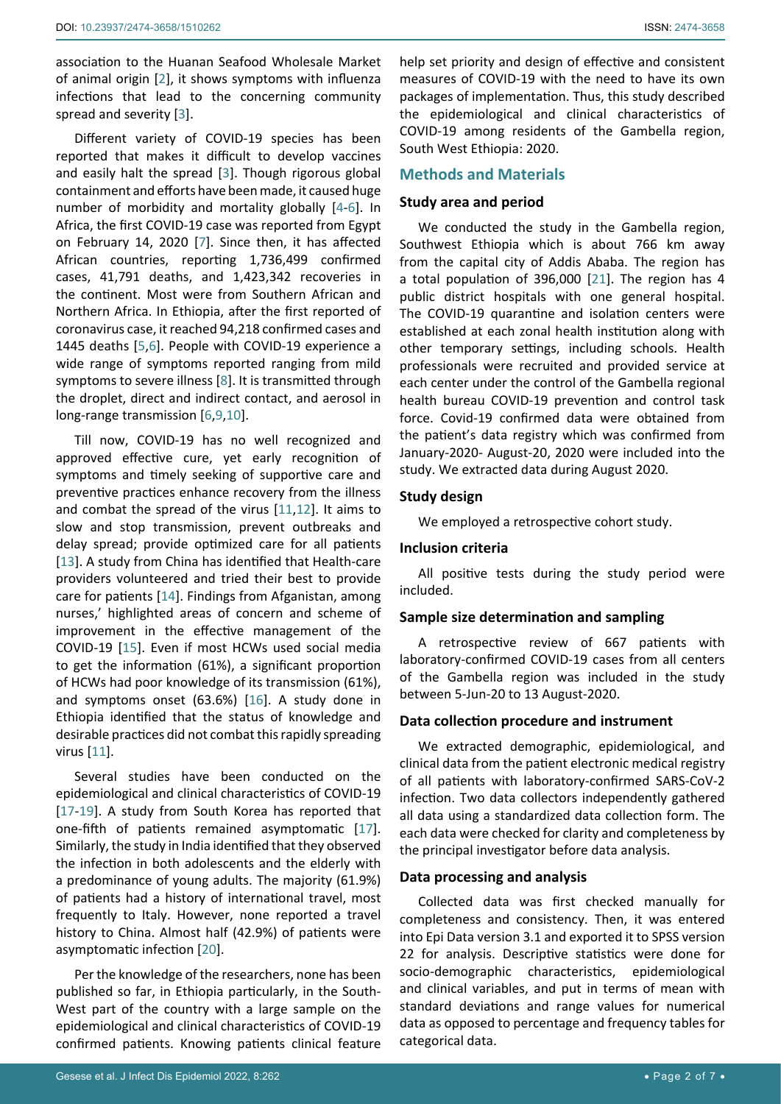association to the Huanan Seafood Wholesale Market of animal origin [[2](#page-5-2)], it shows symptoms with influenza infections that lead to the concerning community spread and severity [[3](#page-5-3)].

Different variety of COVID-19 species has been reported that makes it difficult to develop vaccines and easily halt the spread [[3](#page-5-3)]. Though rigorous global containment and efforts have been made, it caused huge number of morbidity and mortality globally [\[4](#page-5-4)[-6\]](#page-5-5). In Africa, the first COVID-19 case was reported from Egypt on February 14, 2020 [\[7\]](#page-5-6). Since then, it has affected African countries, reporting 1,736,499 confirmed cases, 41,791 deaths, and 1,423,342 recoveries in the continent. Most were from Southern African and Northern Africa. In Ethiopia, after the first reported of coronavirus case, it reached 94,218 confirmed cases and 1445 deaths [\[5](#page-5-7),[6](#page-5-5)]. People with COVID-19 experience a wide range of symptoms reported ranging from mild symptoms to severe illness [\[8\]](#page-5-8). It is transmitted through the droplet, direct and indirect contact, and aerosol in long-range transmission [[6](#page-5-5),[9](#page-5-9),[10\]](#page-5-10).

Till now, COVID-19 has no well recognized and approved effective cure, yet early recognition of symptoms and timely seeking of supportive care and preventive practices enhance recovery from the illness and combat the spread of the virus [\[11](#page-5-11),[12](#page-5-12)]. It aims to slow and stop transmission, prevent outbreaks and delay spread; provide optimized care for all patients [[13](#page-5-13)]. A study from China has identified that Health-care providers volunteered and tried their best to provide care for patients [[14\]](#page-5-14). Findings from Afganistan, among nurses,' highlighted areas of concern and scheme of improvement in the effective management of the COVID-19 [\[15\]](#page-5-15). Even if most HCWs used social media to get the information (61%), a significant proportion of HCWs had poor knowledge of its transmission (61%), and symptoms onset (63.6%) [[16\]](#page-5-16). A study done in Ethiopia identified that the status of knowledge and desirable practices did not combat this rapidly spreading virus [[11\]](#page-5-11).

Several studies have been conducted on the epidemiological and clinical characteristics of COVID-19 [[17](#page-5-17)[-19\]](#page-5-18). A study from South Korea has reported that one-fifth of patients remained asymptomatic [\[17](#page-5-17)]. Similarly, the study in India identified that they observed the infection in both adolescents and the elderly with a predominance of young adults. The majority (61.9%) of patients had a history of international travel, most frequently to Italy. However, none reported a travel history to China. Almost half (42.9%) of patients were asymptomatic infection [[20](#page-5-19)].

Per the knowledge of the researchers, none has been published so far, in Ethiopia particularly, in the South-West part of the country with a large sample on the epidemiological and clinical characteristics of COVID-19 confirmed patients. Knowing patients clinical feature

help set priority and design of effective and consistent measures of COVID-19 with the need to have its own packages of implementation. Thus, this study described the epidemiological and clinical characteristics of COVID-19 among residents of the Gambella region, South West Ethiopia: 2020.

# **Methods and Materials**

## **Study area and period**

We conducted the study in the Gambella region, Southwest Ethiopia which is about 766 km away from the capital city of Addis Ababa. The region has a total population of 396,000 [\[21](#page-5-1)]. The region has 4 public district hospitals with one general hospital. The COVID-19 quarantine and isolation centers were established at each zonal health institution along with other temporary settings, including schools. Health professionals were recruited and provided service at each center under the control of the Gambella regional health bureau COVID-19 prevention and control task force. Covid-19 confirmed data were obtained from the patient's data registry which was confirmed from January-2020- August-20, 2020 were included into the study. We extracted data during August 2020.

## **Study design**

We employed a retrospective cohort study.

## **Inclusion criteria**

All positive tests during the study period were included.

## **Sample size determination and sampling**

A retrospective review of 667 patients with laboratory-confirmed COVID-19 cases from all centers of the Gambella region was included in the study between 5-Jun-20 to 13 August-2020.

## **Data collection procedure and instrument**

We extracted demographic, epidemiological, and clinical data from the patient electronic medical registry of all patients with laboratory-confirmed SARS-CoV-2 infection. Two data collectors independently gathered all data using a standardized data collection form. The each data were checked for clarity and completeness by the principal investigator before data analysis.

## **Data processing and analysis**

Collected data was first checked manually for completeness and consistency. Then, it was entered into Epi Data version 3.1 and exported it to SPSS version 22 for analysis. Descriptive statistics were done for socio-demographic characteristics, epidemiological and clinical variables, and put in terms of mean with standard deviations and range values for numerical data as opposed to percentage and frequency tables for categorical data.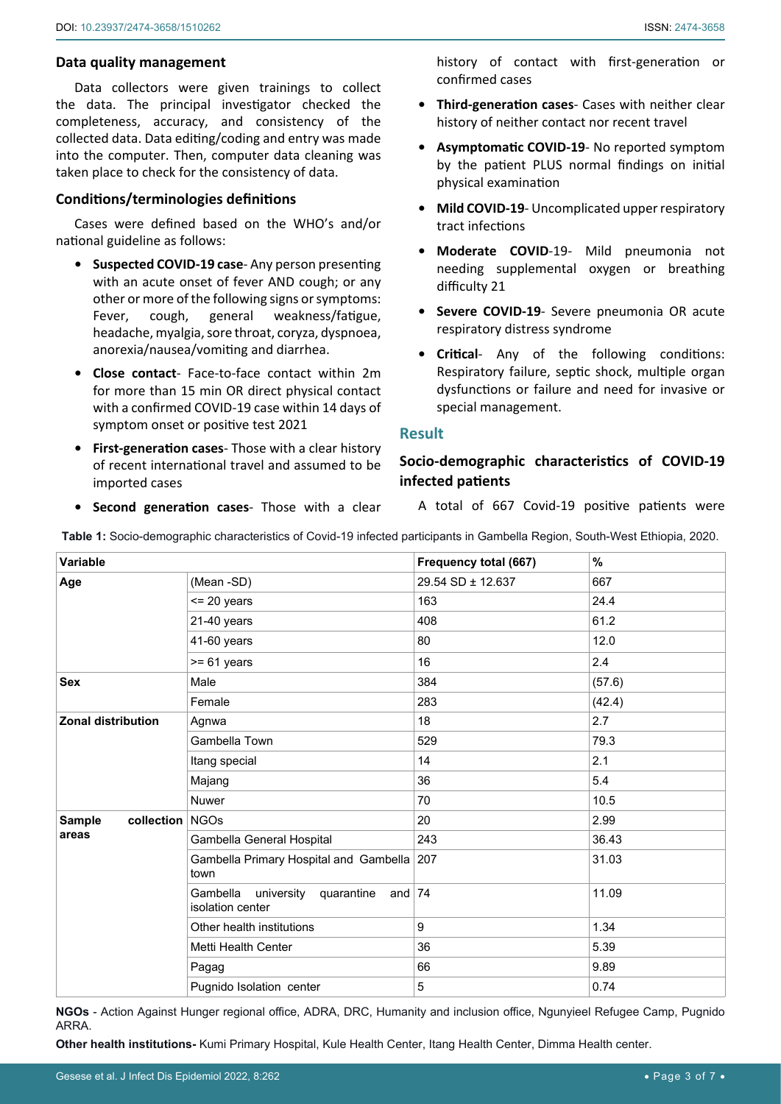## **Data quality management**

Data collectors were given trainings to collect the data. The principal investigator checked the completeness, accuracy, and consistency of the collected data. Data editing/coding and entry was made into the computer. Then, computer data cleaning was taken place to check for the consistency of data.

## **Conditions/terminologies definitions**

Cases were defined based on the WHO's and/or national guideline as follows:

- **• Suspected COVID-19 case** Any person presenting with an acute onset of fever AND cough; or any other or more of the following signs or symptoms: Fever, cough, general weakness/fatigue, headache, myalgia, sore throat, coryza, dyspnoea, anorexia/nausea/vomiting and diarrhea.
- **• Close contact** Face-to-face contact within 2m for more than 15 min OR direct physical contact with a confirmed COVID-19 case within 14 days of symptom onset or positive test 2021
- **• First-generation cases** Those with a clear history of recent international travel and assumed to be imported cases

history of contact with first-generation or confirmed cases

- **• Third-generation cases** Cases with neither clear history of neither contact nor recent travel
- **• Asymptomatic COVID-19** No reported symptom by the patient PLUS normal findings on initial physical examination
- **• Mild COVID-19** Uncomplicated upper respiratory tract infections
- **• Moderate COVID**-19- Mild pneumonia not needing supplemental oxygen or breathing difficulty 21
- **• Severe COVID-19** Severe pneumonia OR acute respiratory distress syndrome
- **• Critical** Any of the following conditions: Respiratory failure, septic shock, multiple organ dysfunctions or failure and need for invasive or special management.

## **Result**

# **Socio-demographic characteristics of COVID-19 infected patients**

**• Second generation cases**- Those with a clear

A total of 667 Covid-19 positive patients were

<span id="page-2-0"></span>**Table 1:** Socio-demographic characteristics of Covid-19 infected participants in Gambella Region, South-West Ethiopia, 2020.

| Variable                                  |                                                           | Frequency total (667) | %      |
|-------------------------------------------|-----------------------------------------------------------|-----------------------|--------|
| Age                                       | (Mean -SD)                                                | 29.54 SD ± 12.637     | 667    |
|                                           | $<$ 20 years                                              | 163                   | 24.4   |
|                                           | 21-40 years                                               | 408                   | 61.2   |
|                                           | 41-60 years                                               | 80                    | 12.0   |
|                                           | $>= 61$ years                                             | 16                    | 2.4    |
| <b>Sex</b>                                | Male                                                      | 384                   | (57.6) |
|                                           | Female                                                    | 283                   | (42.4) |
| <b>Zonal distribution</b>                 | Agnwa                                                     | 18                    | 2.7    |
|                                           | Gambella Town                                             | 529                   | 79.3   |
|                                           | Itang special                                             | 14                    | 2.1    |
|                                           | Majang                                                    | 36                    | 5.4    |
|                                           | <b>Nuwer</b>                                              | 70                    | 10.5   |
| collection NGOs<br><b>Sample</b><br>areas |                                                           | 20                    | 2.99   |
|                                           | Gambella General Hospital                                 | 243                   | 36.43  |
|                                           | Gambella Primary Hospital and Gambella 207<br>town        |                       | 31.03  |
|                                           | Gambella<br>university quarantine and<br>isolation center | 74                    | 11.09  |
|                                           | Other health institutions                                 | 9                     | 1.34   |
|                                           | Metti Health Center                                       | 36                    | 5.39   |
|                                           | Pagag                                                     | 66                    | 9.89   |
|                                           | Pugnido Isolation center                                  | 5                     | 0.74   |

**NGOs** - Action Against Hunger regional office, ADRA, DRC, Humanity and inclusion office, Ngunyieel Refugee Camp, Pugnido ARRA.

**Other health institutions-** Kumi Primary Hospital, Kule Health Center, Itang Health Center, Dimma Health center.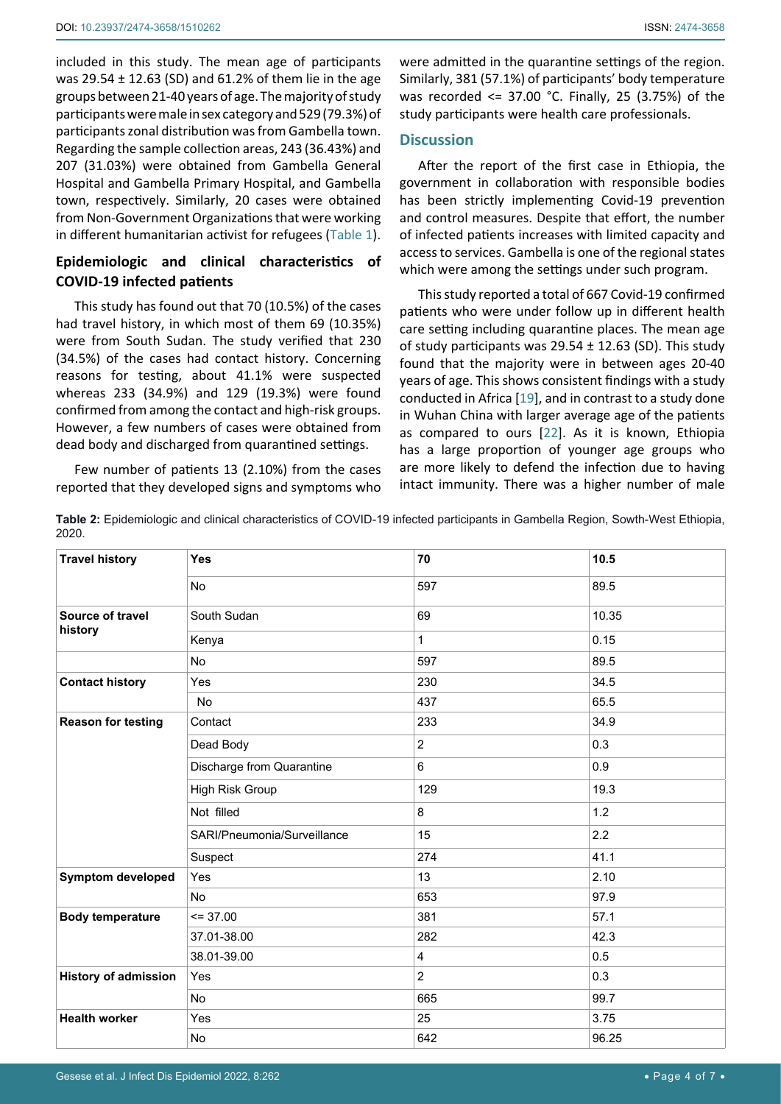included in this study. The mean age of participants was 29.54 ± 12.63 (SD) and 61.2% of them lie in the age groups between 21-40 years of age. The majority of study participants were male in sex category and 529 (79.3%) of participants zonal distribution was from Gambella town. Regarding the sample collection areas, 243 (36.43%) and 207 (31.03%) were obtained from Gambella General Hospital and Gambella Primary Hospital, and Gambella town, respectively. Similarly, 20 cases were obtained from Non-Government Organizations that were working in different humanitarian activist for refugees ([Table](#page-2-0) 1).

# **Epidemiologic and clinical characteristics of COVID-19 infected patients**

This study has found out that 70 (10.5%) of the cases had travel history, in which most of them 69 (10.35%) were from South Sudan. The study verified that 230 (34.5%) of the cases had contact history. Concerning reasons for testing, about 41.1% were suspected whereas 233 (34.9%) and 129 (19.3%) were found confirmed from among the contact and high-risk groups. However, a few numbers of cases were obtained from dead body and discharged from quarantined settings.

Few number of patients 13 (2.10%) from the cases reported that they developed signs and symptoms who were admitted in the quarantine settings of the region. Similarly, 381 (57.1%) of participants' body temperature was recorded <= 37.00 °C. Finally, 25 (3.75%) of the study participants were health care professionals.

# **Discussion**

After the report of the first case in Ethiopia, the government in collaboration with responsible bodies has been strictly implementing Covid-19 prevention and control measures. Despite that effort, the number of infected patients increases with limited capacity and access to services. Gambella is one of the regional states which were among the settings under such program.

This study reported a total of 667 Covid-19 confirmed patients who were under follow up in different health care setting including quarantine places. The mean age of study participants was  $29.54 \pm 12.63$  (SD). This study found that the majority were in between ages 20-40 years of age. This shows consistent findings with a study conducted in Africa [\[19](#page-5-18)], and in contrast to a study done in Wuhan China with larger average age of the patients as compared to ours [[22](#page-5-20)]. As it is known, Ethiopia has a large proportion of younger age groups who are more likely to defend the infection due to having intact immunity. There was a higher number of male

**Table 2:** Epidemiologic and clinical characteristics of COVID-19 infected participants in Gambella Region, Sowth-West Ethiopia, 2020.

| <b>Travel history</b>       | <b>Yes</b>                  | 70             | 10.5  |
|-----------------------------|-----------------------------|----------------|-------|
|                             | <b>No</b>                   | 597            | 89.5  |
| Source of travel<br>history | South Sudan                 | 69             | 10.35 |
|                             | Kenya                       | $\mathbf{1}$   | 0.15  |
|                             | <b>No</b>                   | 597            | 89.5  |
| <b>Contact history</b>      | Yes                         | 230            | 34.5  |
|                             | No                          | 437            | 65.5  |
| <b>Reason for testing</b>   | Contact                     | 233            | 34.9  |
|                             | Dead Body                   | $\overline{2}$ | 0.3   |
|                             | Discharge from Quarantine   | 6              | 0.9   |
|                             | High Risk Group             | 129            | 19.3  |
|                             | Not filled                  | 8              | 1.2   |
|                             | SARI/Pneumonia/Surveillance | 15             | 2.2   |
|                             | Suspect                     | 274            | 41.1  |
| <b>Symptom developed</b>    | Yes                         | 13             | 2.10  |
|                             | <b>No</b>                   | 653            | 97.9  |
| <b>Body temperature</b>     | $= 37.00$                   | 381            | 57.1  |
|                             | 37.01-38.00                 | 282            | 42.3  |
|                             | 38.01-39.00                 | 4              | 0.5   |
| <b>History of admission</b> | Yes                         | $\overline{2}$ | 0.3   |
|                             | <b>No</b>                   | 665            | 99.7  |
| <b>Health worker</b>        | Yes                         | 25             | 3.75  |
|                             | No                          | 642            | 96.25 |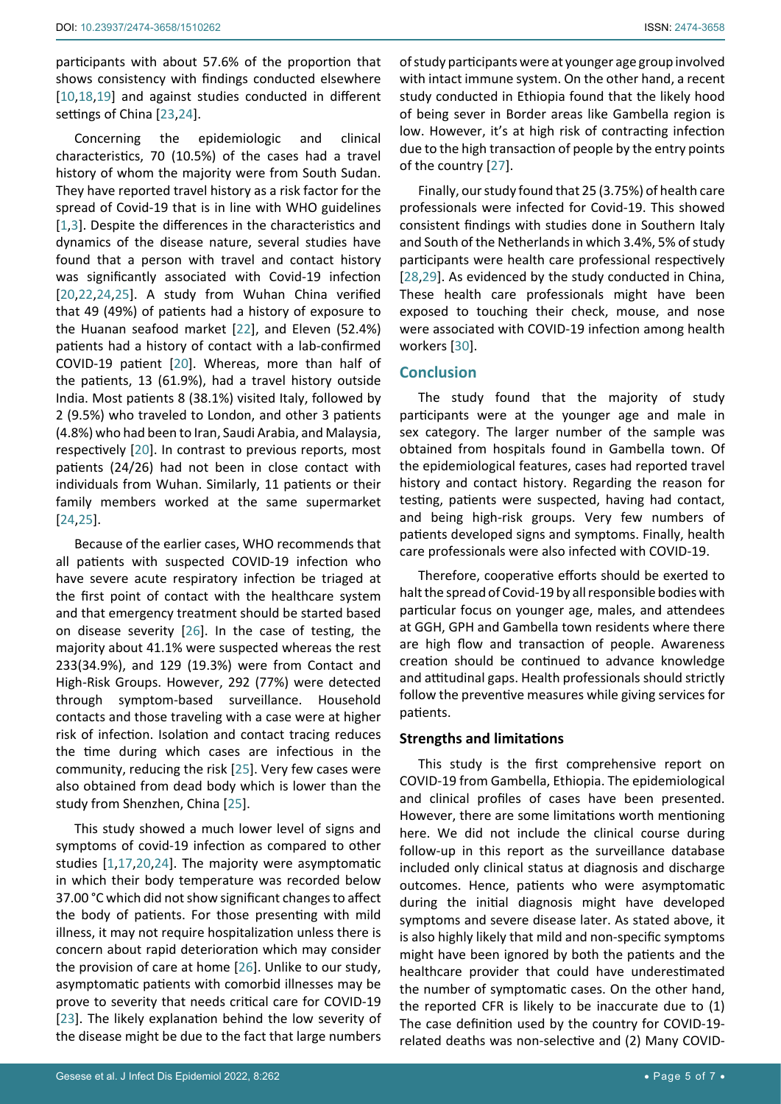participants with about 57.6% of the proportion that shows consistency with findings conducted elsewhere [[10](#page-5-10),[18](#page-5-21),[19\]](#page-5-18) and against studies conducted in different settings of China [\[23](#page-5-22),[24](#page-5-23)].

Concerning the epidemiologic and clinical characteristics, 70 (10.5%) of the cases had a travel history of whom the majority were from South Sudan. They have reported travel history as a risk factor for the spread of Covid-19 that is in line with WHO guidelines [[1](#page-5-0),[3\]](#page-5-3). Despite the differences in the characteristics and dynamics of the disease nature, several studies have found that a person with travel and contact history was significantly associated with Covid-19 infection [[20](#page-5-19),[22,](#page-5-20)[24](#page-5-23),[25\]](#page-6-4). A study from Wuhan China verified that 49 (49%) of patients had a history of exposure to the Huanan seafood market [[22](#page-5-20)], and Eleven (52.4%) patients had a history of contact with a lab-confirmed COVID-19 patient [[20](#page-5-19)]. Whereas, more than half of the patients, 13 (61.9%), had a travel history outside India. Most patients 8 (38.1%) visited Italy, followed by 2 (9.5%) who traveled to London, and other 3 patients (4.8%) who had been to Iran, Saudi Arabia, and Malaysia, respectively [[20](#page-5-19)]. In contrast to previous reports, most patients (24/26) had not been in close contact with individuals from Wuhan. Similarly, 11 patients or their family members worked at the same supermarket [[24](#page-5-23),[25\]](#page-6-4).

Because of the earlier cases, WHO recommends that all patients with suspected COVID-19 infection who have severe acute respiratory infection be triaged at the first point of contact with the healthcare system and that emergency treatment should be started based on disease severity [\[26\]](#page-6-5). In the case of testing, the majority about 41.1% were suspected whereas the rest 233(34.9%), and 129 (19.3%) were from Contact and High-Risk Groups. However, 292 (77%) were detected through symptom-based surveillance. Household contacts and those traveling with a case were at higher risk of infection. Isolation and contact tracing reduces the time during which cases are infectious in the community, reducing the risk [\[25](#page-6-4)]. Very few cases were also obtained from dead body which is lower than the study from Shenzhen, China [[25\]](#page-6-4).

This study showed a much lower level of signs and symptoms of covid-19 infection as compared to other studies [[1](#page-5-0),[17](#page-5-17),[20,](#page-5-19)[24\]](#page-5-23). The majority were asymptomatic in which their body temperature was recorded below 37.00 °C which did not show significant changes to affect the body of patients. For those presenting with mild illness, it may not require hospitalization unless there is concern about rapid deterioration which may consider the provision of care at home [[26\]](#page-6-5). Unlike to our study, asymptomatic patients with comorbid illnesses may be prove to severity that needs critical care for COVID-19 [[23](#page-5-22)]. The likely explanation behind the low severity of the disease might be due to the fact that large numbers

of study participants were at younger age group involved with intact immune system. On the other hand, a recent study conducted in Ethiopia found that the likely hood of being sever in Border areas like Gambella region is low. However, it's at high risk of contracting infection due to the high transaction of people by the entry points of the country [\[27](#page-6-0)].

Finally, our study found that 25 (3.75%) of health care professionals were infected for Covid-19. This showed consistent findings with studies done in Southern Italy and South of the Netherlands in which 3.4%, 5% of study participants were health care professional respectively [\[28](#page-6-1),[29](#page-6-2)]. As evidenced by the study conducted in China, These health care professionals might have been exposed to touching their check, mouse, and nose were associated with COVID-19 infection among health workers [[30\]](#page-6-3).

# **Conclusion**

The study found that the majority of study participants were at the younger age and male in sex category. The larger number of the sample was obtained from hospitals found in Gambella town. Of the epidemiological features, cases had reported travel history and contact history. Regarding the reason for testing, patients were suspected, having had contact, and being high-risk groups. Very few numbers of patients developed signs and symptoms. Finally, health care professionals were also infected with COVID-19.

Therefore, cooperative efforts should be exerted to halt the spread of Covid-19 by all responsible bodies with particular focus on younger age, males, and attendees at GGH, GPH and Gambella town residents where there are high flow and transaction of people. Awareness creation should be continued to advance knowledge and attitudinal gaps. Health professionals should strictly follow the preventive measures while giving services for patients.

## **Strengths and limitations**

This study is the first comprehensive report on COVID-19 from Gambella, Ethiopia. The epidemiological and clinical profiles of cases have been presented. However, there are some limitations worth mentioning here. We did not include the clinical course during follow-up in this report as the surveillance database included only clinical status at diagnosis and discharge outcomes. Hence, patients who were asymptomatic during the initial diagnosis might have developed symptoms and severe disease later. As stated above, it is also highly likely that mild and non-specific symptoms might have been ignored by both the patients and the healthcare provider that could have underestimated the number of symptomatic cases. On the other hand, the reported CFR is likely to be inaccurate due to (1) The case definition used by the country for COVID-19 related deaths was non-selective and (2) Many COVID-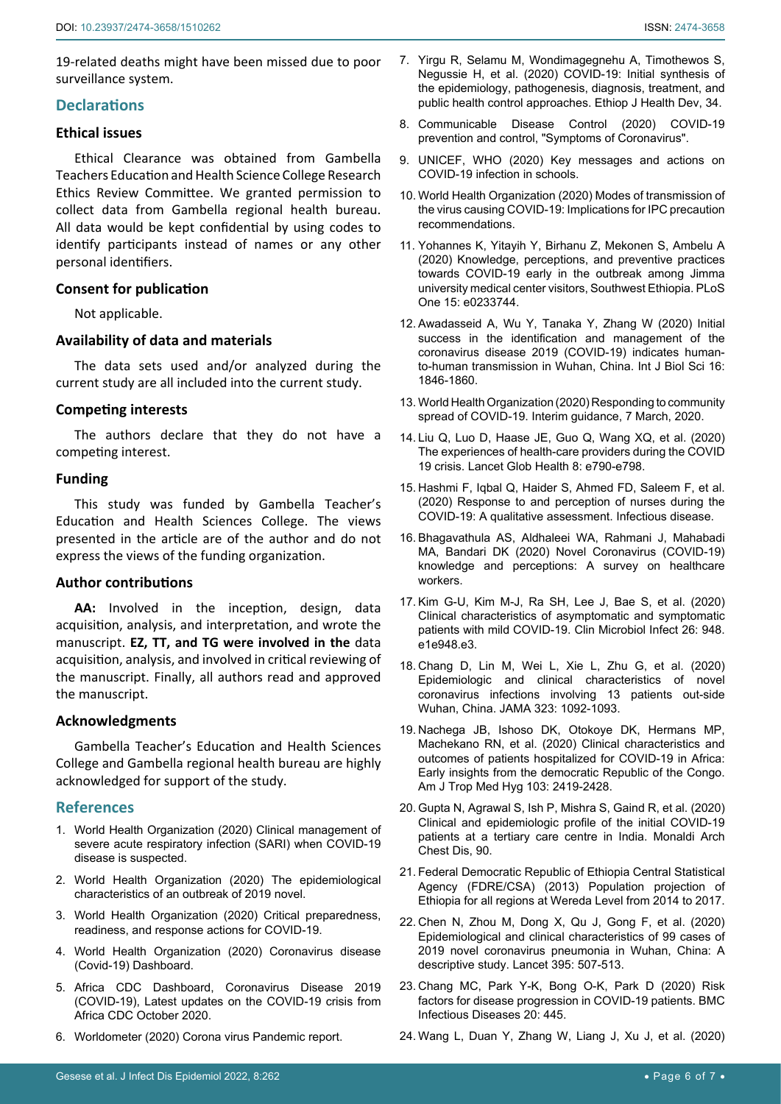19-related deaths might have been missed due to poor surveillance system.

## **Declarations**

## **Ethical issues**

Ethical Clearance was obtained from Gambella Teachers Education and Health Science College Research Ethics Review Committee. We granted permission to collect data from Gambella regional health bureau. All data would be kept confidential by using codes to identify participants instead of names or any other personal identifiers.

## **Consent for publication**

Not applicable.

## **Availability of data and materials**

The data sets used and/or analyzed during the current study are all included into the current study.

#### **Competing interests**

The authors declare that they do not have a competing interest.

## **Funding**

This study was funded by Gambella Teacher's Education and Health Sciences College. The views presented in the article are of the author and do not express the views of the funding organization.

## **Author contributions**

**AA:** Involved in the inception, design, data acquisition, analysis, and interpretation, and wrote the manuscript. **EZ, TT, and TG were involved in the** data acquisition, analysis, and involved in critical reviewing of the manuscript. Finally, all authors read and approved the manuscript.

## **Acknowledgments**

Gambella Teacher's Education and Health Sciences College and Gambella regional health bureau are highly acknowledged for support of the study.

## **References**

- <span id="page-5-0"></span>1. [World Health Organization \(2020\) Clinical management of](https://www.who.int/docs/default-source/coronaviruse/clinical-management-of-novel-cov.pdf)  [severe acute respiratory infection \(SARI\) when COVID-19](https://www.who.int/docs/default-source/coronaviruse/clinical-management-of-novel-cov.pdf)  [disease is suspected.](https://www.who.int/docs/default-source/coronaviruse/clinical-management-of-novel-cov.pdf)
- <span id="page-5-2"></span>2. World Health Organization (2020) The epidemiological characteristics of an outbreak of 2019 novel.
- <span id="page-5-3"></span>3. [World Health Organization \(2020\) Critical preparedness,](https://www.who.int/publications/i/item/critical-preparedness-readiness-and-response-actions-for-covid-19)  [readiness, and response actions for COVID-19.](https://www.who.int/publications/i/item/critical-preparedness-readiness-and-response-actions-for-covid-19)
- <span id="page-5-4"></span>4. [World Health Organization \(2020\) Coronavirus disease](https://covid19.who.int/)  [\(Covid-19\) Dashboard.](https://covid19.who.int/)
- <span id="page-5-7"></span>5. [Africa CDC Dashboard, Coronavirus Disease 2019](https://Africacdc@africaunion.org/https:/au.int/africacdc)  [\(COVID-19\), Latest updates on the COVID-19 crisis from](https://Africacdc@africaunion.org/https:/au.int/africacdc)  [Africa CDC October 2020.](https://Africacdc@africaunion.org/https:/au.int/africacdc)
- <span id="page-5-5"></span>6. [Worldometer \(2020\) Corona virus Pandemic report.](https://www.worldometers.info/coronavirus/)
- <span id="page-5-6"></span>7. [Yirgu R, Selamu M, Wondimagegnehu A, Timothewos S,](https://www.ajol.info/index.php/ejhd/article/view/201327)  [Negussie H, et al. \(2020\) COVID-19: Initial synthesis of](https://www.ajol.info/index.php/ejhd/article/view/201327)  [the epidemiology, pathogenesis, diagnosis, treatment, and](https://www.ajol.info/index.php/ejhd/article/view/201327)  [public health control approaches. Ethiop J Health Dev, 34.](https://www.ajol.info/index.php/ejhd/article/view/201327)
- <span id="page-5-8"></span>8. Communicable Disease Control (2020) COVID-19 prevention and control, "Symptoms of Coronavirus".
- <span id="page-5-9"></span>9. [UNICEF, WHO \(2020\) Key messages and actions on](https://www.who.int/docs/default-source/coronaviruse/key-messages-and-actions-for-covid-19-prevention-and-control-in-schools-march-2020.pdf)  [COVID-19 infection in schools.](https://www.who.int/docs/default-source/coronaviruse/key-messages-and-actions-for-covid-19-prevention-and-control-in-schools-march-2020.pdf)
- <span id="page-5-10"></span>10. [World Health Organization \(2020\) Modes of transmission of](https://reliefweb.int/report/world/modes-transmission-virus-causing-covid-19-implications-ipc-precaution-recommendations)  [the virus causing COVID-19: Implications for IPC precaution](https://reliefweb.int/report/world/modes-transmission-virus-causing-covid-19-implications-ipc-precaution-recommendations)  [recommendations.](https://reliefweb.int/report/world/modes-transmission-virus-causing-covid-19-implications-ipc-precaution-recommendations)
- <span id="page-5-11"></span>11. Yohannes [K, Yitayih Y, Birhanu Z, Mekonen S, Ambelu A](https://pubmed.ncbi.nlm.nih.gov/32437432/)  (2020) [Knowledge, perceptions, and preventive practices](https://pubmed.ncbi.nlm.nih.gov/32437432/)  [towards COVID-19 early in the outbreak among Jimma](https://pubmed.ncbi.nlm.nih.gov/32437432/)  [university medical center visitors, Southwest Ethiopia.](https://pubmed.ncbi.nlm.nih.gov/32437432/) PLoS [One 15: e0233744.](https://pubmed.ncbi.nlm.nih.gov/32437432/)
- <span id="page-5-12"></span>12. [Awadasseid A, Wu Y, Tanaka Y, Zhang W \(2020\) Initial](https://pubmed.ncbi.nlm.nih.gov/32398954/)  [success in the identification and management of the](https://pubmed.ncbi.nlm.nih.gov/32398954/)  [coronavirus disease 2019 \(COVID-19\) indicates human](https://pubmed.ncbi.nlm.nih.gov/32398954/)[to-human transmission in Wuhan, China.](https://pubmed.ncbi.nlm.nih.gov/32398954/) Int J Biol Sci 16: [1846-1860.](https://pubmed.ncbi.nlm.nih.gov/32398954/)
- <span id="page-5-13"></span>13. [World Health Organization \(2020\) Responding to community](https://apps.who.int/iris/bitstream/handle/10665/331421/WHO-COVID-19-Community_Transmission-2020.1-eng.pdf)  [spread of COVID-19. Interim guidance, 7 March, 2020.](https://apps.who.int/iris/bitstream/handle/10665/331421/WHO-COVID-19-Community_Transmission-2020.1-eng.pdf)
- <span id="page-5-14"></span>14. [Liu Q, Luo D, Haase JE, Guo Q, Wang XQ, et al.](https://pubmed.ncbi.nlm.nih.gov/32573443/) (2020) [The experiences of health-care providers during the COVID](https://pubmed.ncbi.nlm.nih.gov/32573443/)  [19 crisis. Lancet Glob Health](https://pubmed.ncbi.nlm.nih.gov/32573443/) 8: e790-e798.
- <span id="page-5-15"></span>15. Hashmi F, Iqbal Q, Haider S, Ahmed FD, Saleem F, et al. (2020) Response to and perception of nurses during the COVID-19: A qualitative assessment. Infectious disease.
- <span id="page-5-16"></span>16. [Bhagavathula AS, Aldhaleei WA, Rahmani J, Mahabadi](https://www.medrxiv.org/content/10.1101/2020.03.09.20033381v2)  [MA, Bandari DK \(2020\) Novel Coronavirus \(COVID-19\)](https://www.medrxiv.org/content/10.1101/2020.03.09.20033381v2)  [knowledge and perceptions: A survey on healthcare](https://www.medrxiv.org/content/10.1101/2020.03.09.20033381v2)  [workers.](https://www.medrxiv.org/content/10.1101/2020.03.09.20033381v2)
- <span id="page-5-17"></span>17. [Kim G-U, Kim M-J, Ra SH, Lee J, Bae S, et al. \(2020\)](https://pubmed.ncbi.nlm.nih.gov/32360780)  [Clinical characteristics of asymptomatic and symptomatic](https://pubmed.ncbi.nlm.nih.gov/32360780)  [patients with mild COVID-19. Clin Microbiol Infect 26: 948.](https://pubmed.ncbi.nlm.nih.gov/32360780) [e1e948.e3.](https://pubmed.ncbi.nlm.nih.gov/32360780)
- <span id="page-5-21"></span>18. [Chang D, Lin M, Wei L, Xie L, Zhu G, et al. \(2020\)](https://pubmed.ncbi.nlm.nih.gov/32031568/)  [Epidemiologic and clinical characteristics of novel](https://pubmed.ncbi.nlm.nih.gov/32031568/)  [coronavirus infections involving 13 patients out-side](https://pubmed.ncbi.nlm.nih.gov/32031568/)  [Wuhan, China. JAMA 323: 1092-1093.](https://pubmed.ncbi.nlm.nih.gov/32031568/)
- <span id="page-5-18"></span>19. [Nachega JB, Ishoso DK, Otokoye DK, Hermans MP,](https://www.ncbi.nlm.nih.gov/pmc/articles/PMC7695108/)  [Machekano RN, et al. \(2020\) Clinical characteristics and](https://www.ncbi.nlm.nih.gov/pmc/articles/PMC7695108/)  [outcomes of patients hospitalized for COVID-19 in Africa:](https://www.ncbi.nlm.nih.gov/pmc/articles/PMC7695108/)  [Early insights from the democratic Republic of the Congo.](https://www.ncbi.nlm.nih.gov/pmc/articles/PMC7695108/)  [Am J Trop Med Hyg 103: 2419-2428.](https://www.ncbi.nlm.nih.gov/pmc/articles/PMC7695108/)
- <span id="page-5-19"></span>20. [Gupta N, Agrawal S, Ish P, Mishra S, Gaind R, et al. \(2020\)](https://pubmed.ncbi.nlm.nih.gov/32290644/)  [Clinical and epidemiologic profile of the initial COVID-19](https://pubmed.ncbi.nlm.nih.gov/32290644/)  [patients at a tertiary care centre in India. Monaldi Arch](https://pubmed.ncbi.nlm.nih.gov/32290644/)  [Chest Dis, 90.](https://pubmed.ncbi.nlm.nih.gov/32290644/)
- <span id="page-5-1"></span>21. [Federal Democratic Republic of Ethiopia Central Statistical](https://www.academia.edu/30252151/Federal_Democratic_Republic_of_Ethiopia_Central_Statistical_Agency_Population_Projection_of_Ethiopia_for_All_Regions_At_Wereda_Level_from_2014_2017)  [Agency \(FDRE/CSA\) \(2013\) Population projection of](https://www.academia.edu/30252151/Federal_Democratic_Republic_of_Ethiopia_Central_Statistical_Agency_Population_Projection_of_Ethiopia_for_All_Regions_At_Wereda_Level_from_2014_2017)  [Ethiopia for all regions at Wereda Level from 2014 to 2017.](https://www.academia.edu/30252151/Federal_Democratic_Republic_of_Ethiopia_Central_Statistical_Agency_Population_Projection_of_Ethiopia_for_All_Regions_At_Wereda_Level_from_2014_2017)
- <span id="page-5-20"></span>22. [Chen N, Zhou M, Dong X, Qu J, Gong F, et al. \(2020\)](https://pubmed.ncbi.nlm.nih.gov/32007143/)  [Epidemiological and clinical characteristics of 99 cases of](https://pubmed.ncbi.nlm.nih.gov/32007143/)  [2019 novel coronavirus pneumonia in Wuhan, China: A](https://pubmed.ncbi.nlm.nih.gov/32007143/)  [descriptive study. Lancet 395: 507-513.](https://pubmed.ncbi.nlm.nih.gov/32007143/)
- <span id="page-5-22"></span>23. [Chang MC, Park Y-K, Bong O-K, Park D \(2020\) Risk](https://bmcinfectdis.biomedcentral.com/track/pdf/10.1186/s12879-020-05144-x.pdf)  [factors for disease progression in COVID-19 patients. BMC](https://bmcinfectdis.biomedcentral.com/track/pdf/10.1186/s12879-020-05144-x.pdf)  [Infectious Diseases 20: 445.](https://bmcinfectdis.biomedcentral.com/track/pdf/10.1186/s12879-020-05144-x.pdf)
- <span id="page-5-23"></span>24. [Wang L, Duan Y, Zhang W, Liang J, Xu J, et al. \(2020\)](https://www.ncbi.nlm.nih.gov/pmc/articles/PMC7154005/)